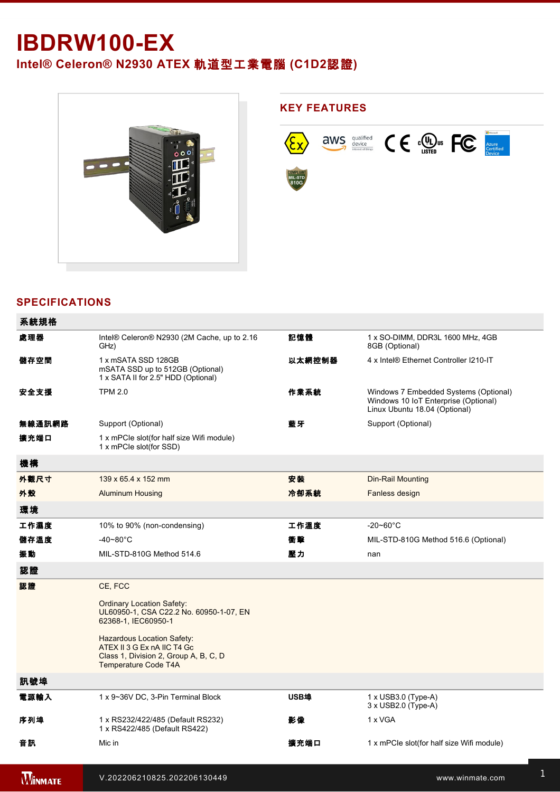## **IBDRW100-EX**

**Intel® Celeron® N2930 ATEX** 軌道型工業電腦 **(C1D2**認證**)**



## **SPECIFICATIONS**

added) e control de la control de

| 系統規格           |                                                                                                                                   |        |                                                                                                                |
|----------------|-----------------------------------------------------------------------------------------------------------------------------------|--------|----------------------------------------------------------------------------------------------------------------|
| 處理器            | Intel® Celeron® N2930 (2M Cache, up to 2.16<br>GHz)                                                                               | 記憶體    | 1 x SO-DIMM, DDR3L 1600 MHz, 4GB<br>8GB (Optional)                                                             |
| 儲存空間           | 1 x mSATA SSD 128GB<br>mSATA SSD up to 512GB (Optional)<br>1 x SATA II for 2.5" HDD (Optional)                                    | 以太網控制器 | 4 x Intel® Ethernet Controller I210-IT                                                                         |
| 安全支援           | <b>TPM 2.0</b>                                                                                                                    | 作業系統   | Windows 7 Embedded Systems (Optional)<br>Windows 10 IoT Enterprise (Optional)<br>Linux Ubuntu 18.04 (Optional) |
| 無線通訊網路         | Support (Optional)                                                                                                                | 藍牙     | Support (Optional)                                                                                             |
| 擴充端口           | 1 x mPCIe slot(for half size Wifi module)<br>1 x mPCle slot(for SSD)                                                              |        |                                                                                                                |
| 機構             |                                                                                                                                   |        |                                                                                                                |
| 外觀尺寸           | 139 x 65.4 x 152 mm                                                                                                               | 安裝     | Din-Rail Mounting                                                                                              |
| 外殼             | <b>Aluminum Housing</b>                                                                                                           | 冷卻系統   | Fanless design                                                                                                 |
| 環境             |                                                                                                                                   |        |                                                                                                                |
| 工作濕度           | 10% to 90% (non-condensing)                                                                                                       | 工作溫度   | $-20 - 60^{\circ}$ C                                                                                           |
| 儲存溫度           | $-40 - 80^{\circ}$ C                                                                                                              | 衝擊     | MIL-STD-810G Method 516.6 (Optional)                                                                           |
| 振動             | MIL-STD-810G Method 514.6                                                                                                         | 壓力     | nan                                                                                                            |
| 認證             |                                                                                                                                   |        |                                                                                                                |
| 認證             | CE, FCC                                                                                                                           |        |                                                                                                                |
|                | <b>Ordinary Location Safety:</b><br>UL60950-1, CSA C22.2 No. 60950-1-07, EN<br>62368-1, IEC60950-1                                |        |                                                                                                                |
|                | <b>Hazardous Location Safety:</b><br>ATEX II 3 G Ex nA IIC T4 Gc<br>Class 1, Division 2, Group A, B, C, D<br>Temperature Code T4A |        |                                                                                                                |
| 訊號埠            |                                                                                                                                   |        |                                                                                                                |
| 電源輸入           | 1 x 9~36V DC, 3-Pin Terminal Block                                                                                                | USB埠   | $1 \times$ USB3.0 (Type-A)<br>3 x USB2.0 (Type-A)                                                              |
| 序列埠            | 1 x RS232/422/485 (Default RS232)<br>1 x RS422/485 (Default RS422)                                                                | 影像     | 1 x VGA                                                                                                        |
| 音訊             | Mic in                                                                                                                            | 擴充端口   | 1 x mPCle slot(for half size Wifi module)                                                                      |
| <b>WINMATE</b> | V.202206210825.202206130449                                                                                                       |        | www.winmate.com                                                                                                |